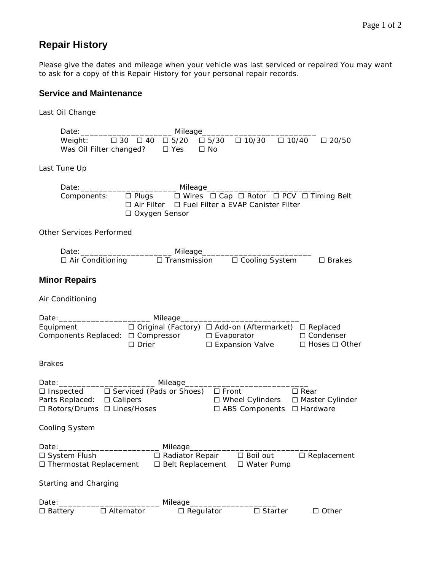## **Repair History**

Please give the dates and mileage when your vehicle was last serviced or repaired You may want to ask for a copy of this Repair History for your personal repair records.

## **Service and Maintenance**

Last Oil Change

| Weight: $\Box$ 30 $\Box$ 40<br>$\Box 10/30 \quad \Box 10/40 \quad \Box 20/50$<br>$\Box$ 5/20 $\Box$ 5/30<br>Was Oil Filter changed?<br>$\Box$ Yes<br>$\Box$ No                                       |  |  |  |  |  |  |
|------------------------------------------------------------------------------------------------------------------------------------------------------------------------------------------------------|--|--|--|--|--|--|
| Last Tune Up                                                                                                                                                                                         |  |  |  |  |  |  |
|                                                                                                                                                                                                      |  |  |  |  |  |  |
| □ Air Filter □ Fuel Filter a EVAP Canister Filter<br>□ Oxygen Sensor                                                                                                                                 |  |  |  |  |  |  |
| Other Services Performed                                                                                                                                                                             |  |  |  |  |  |  |
|                                                                                                                                                                                                      |  |  |  |  |  |  |
| $\Box$ Transmission<br>□ Cooling System<br>$\Box$ Air Conditioning<br>$\square$ Brakes                                                                                                               |  |  |  |  |  |  |
| <b>Minor Repairs</b>                                                                                                                                                                                 |  |  |  |  |  |  |
| Air Conditioning                                                                                                                                                                                     |  |  |  |  |  |  |
|                                                                                                                                                                                                      |  |  |  |  |  |  |
|                                                                                                                                                                                                      |  |  |  |  |  |  |
| Equipment □ □ Original (Factory) □ Add-on (Aftermarket) □ Replaced<br>Components Replaced: □ Compressor □ Evaporator □ □ Condenser<br>□ Expansion Valve<br>$\Box$ Drier<br>$\Box$ Hoses $\Box$ Other |  |  |  |  |  |  |
| <b>Brakes</b>                                                                                                                                                                                        |  |  |  |  |  |  |
| Date: __________________________ Mileage____________                                                                                                                                                 |  |  |  |  |  |  |
| □ Inspected □ Serviced (Pads or Shoes) □ Front<br>$\Box$ Rear<br>Parts Replaced: □ Calipers<br>□ Wheel Cylinders □ Master Cylinder<br>□ Rotors/Drums □ Lines/Hoses<br>□ ABS Components □ Hardware    |  |  |  |  |  |  |
| Cooling System                                                                                                                                                                                       |  |  |  |  |  |  |
| Mileage_<br>Date:                                                                                                                                                                                    |  |  |  |  |  |  |
| □ System Flush<br>□ Radiator Repair<br>$\square$ Boil out<br>$\square$ Replacement<br>□ Thermostat Replacement<br>□ Belt Replacement<br>□ Water Pump                                                 |  |  |  |  |  |  |
| Starting and Charging                                                                                                                                                                                |  |  |  |  |  |  |
| Date: ______<br>Mileage______                                                                                                                                                                        |  |  |  |  |  |  |
| $\square$ Starter<br>□ Alternator<br>$\Box$ Regulator<br>$\Box$ Other<br>□ Battery                                                                                                                   |  |  |  |  |  |  |